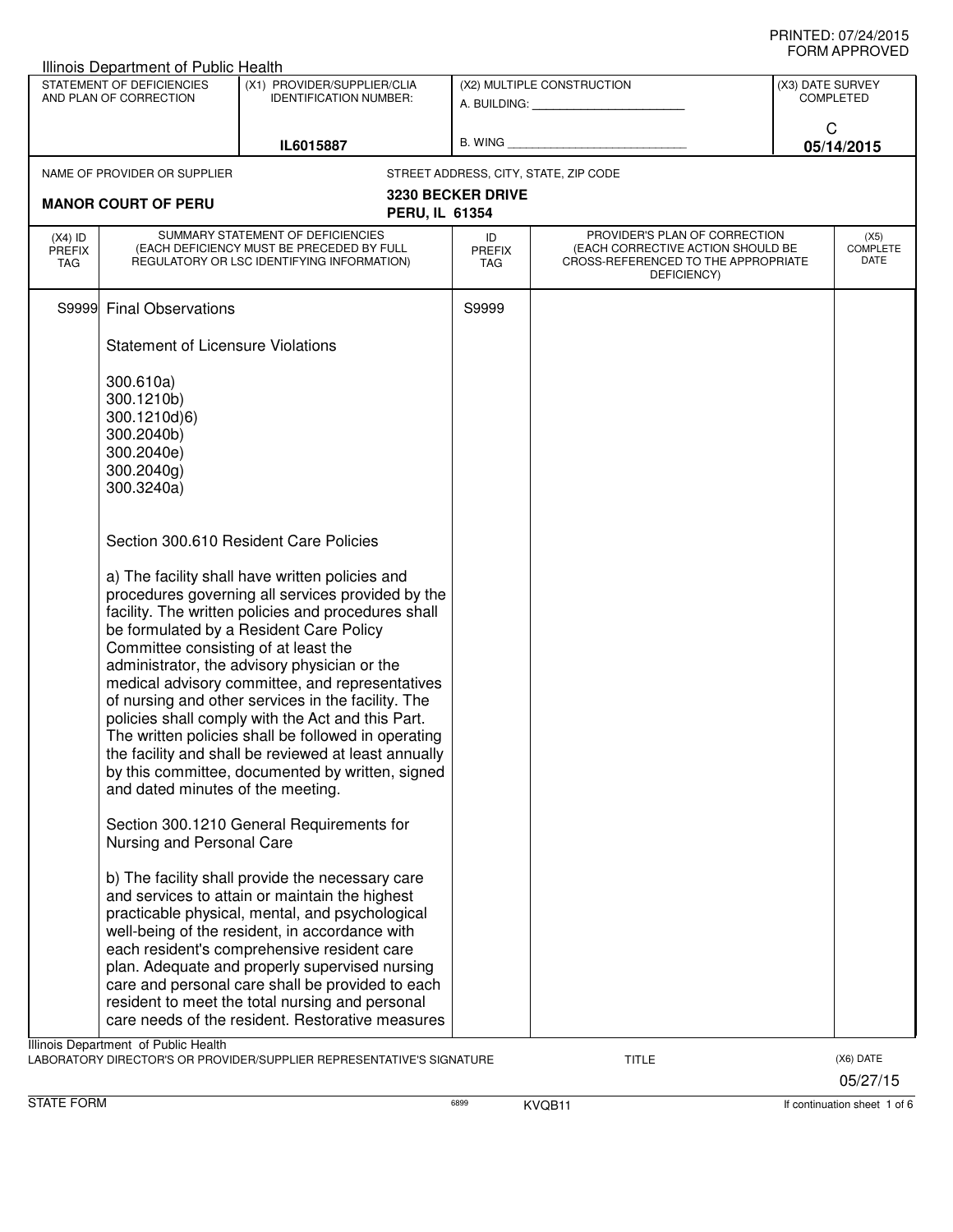|                                   | Illinois Department of Public Health                                                                                                                                                                                                                                                                                                                                                                                                                                                                                                                                                                                                                                 |                                                                                                                                                                                                                                                                                                                                                                                                                                                                     |                                   |                                                                                                                          |                  |                                 |
|-----------------------------------|----------------------------------------------------------------------------------------------------------------------------------------------------------------------------------------------------------------------------------------------------------------------------------------------------------------------------------------------------------------------------------------------------------------------------------------------------------------------------------------------------------------------------------------------------------------------------------------------------------------------------------------------------------------------|---------------------------------------------------------------------------------------------------------------------------------------------------------------------------------------------------------------------------------------------------------------------------------------------------------------------------------------------------------------------------------------------------------------------------------------------------------------------|-----------------------------------|--------------------------------------------------------------------------------------------------------------------------|------------------|---------------------------------|
|                                   | STATEMENT OF DEFICIENCIES<br>AND PLAN OF CORRECTION                                                                                                                                                                                                                                                                                                                                                                                                                                                                                                                                                                                                                  | (X1) PROVIDER/SUPPLIER/CLIA<br><b>IDENTIFICATION NUMBER:</b>                                                                                                                                                                                                                                                                                                                                                                                                        |                                   | (X2) MULTIPLE CONSTRUCTION                                                                                               | (X3) DATE SURVEY | <b>COMPLETED</b>                |
| IL6015887                         |                                                                                                                                                                                                                                                                                                                                                                                                                                                                                                                                                                                                                                                                      | B. WING                                                                                                                                                                                                                                                                                                                                                                                                                                                             |                                   | C<br>05/14/2015                                                                                                          |                  |                                 |
|                                   | NAME OF PROVIDER OR SUPPLIER                                                                                                                                                                                                                                                                                                                                                                                                                                                                                                                                                                                                                                         |                                                                                                                                                                                                                                                                                                                                                                                                                                                                     |                                   | STREET ADDRESS, CITY, STATE, ZIP CODE                                                                                    |                  |                                 |
|                                   | <b>MANOR COURT OF PERU</b>                                                                                                                                                                                                                                                                                                                                                                                                                                                                                                                                                                                                                                           |                                                                                                                                                                                                                                                                                                                                                                                                                                                                     | <b>3230 BECKER DRIVE</b>          |                                                                                                                          |                  |                                 |
|                                   |                                                                                                                                                                                                                                                                                                                                                                                                                                                                                                                                                                                                                                                                      | <b>PERU, IL 61354</b>                                                                                                                                                                                                                                                                                                                                                                                                                                               |                                   |                                                                                                                          |                  |                                 |
| $(X4)$ ID<br><b>PREFIX</b><br>TAG |                                                                                                                                                                                                                                                                                                                                                                                                                                                                                                                                                                                                                                                                      | SUMMARY STATEMENT OF DEFICIENCIES<br>(EACH DEFICIENCY MUST BE PRECEDED BY FULL<br>REGULATORY OR LSC IDENTIFYING INFORMATION)                                                                                                                                                                                                                                                                                                                                        | ID<br><b>PREFIX</b><br><b>TAG</b> | PROVIDER'S PLAN OF CORRECTION<br>(EACH CORRECTIVE ACTION SHOULD BE<br>CROSS-REFERENCED TO THE APPROPRIATE<br>DEFICIENCY) |                  | (X5)<br><b>COMPLETE</b><br>DATE |
| S9999                             | <b>Final Observations</b>                                                                                                                                                                                                                                                                                                                                                                                                                                                                                                                                                                                                                                            |                                                                                                                                                                                                                                                                                                                                                                                                                                                                     | S9999                             |                                                                                                                          |                  |                                 |
|                                   | <b>Statement of Licensure Violations</b>                                                                                                                                                                                                                                                                                                                                                                                                                                                                                                                                                                                                                             |                                                                                                                                                                                                                                                                                                                                                                                                                                                                     |                                   |                                                                                                                          |                  |                                 |
|                                   | 300.610a)<br>300.1210b)<br>300.1210d)6)<br>300.2040b)<br>300.2040e)<br>300.2040g)<br>300.3240a)                                                                                                                                                                                                                                                                                                                                                                                                                                                                                                                                                                      |                                                                                                                                                                                                                                                                                                                                                                                                                                                                     |                                   |                                                                                                                          |                  |                                 |
|                                   |                                                                                                                                                                                                                                                                                                                                                                                                                                                                                                                                                                                                                                                                      | Section 300.610 Resident Care Policies                                                                                                                                                                                                                                                                                                                                                                                                                              |                                   |                                                                                                                          |                  |                                 |
|                                   | a) The facility shall have written policies and<br>procedures governing all services provided by the<br>facility. The written policies and procedures shall<br>be formulated by a Resident Care Policy<br>Committee consisting of at least the<br>administrator, the advisory physician or the<br>medical advisory committee, and representatives<br>of nursing and other services in the facility. The<br>policies shall comply with the Act and this Part.<br>The written policies shall be followed in operating<br>the facility and shall be reviewed at least annually<br>by this committee, documented by written, signed<br>and dated minutes of the meeting. |                                                                                                                                                                                                                                                                                                                                                                                                                                                                     |                                   |                                                                                                                          |                  |                                 |
|                                   | Nursing and Personal Care                                                                                                                                                                                                                                                                                                                                                                                                                                                                                                                                                                                                                                            | Section 300.1210 General Requirements for                                                                                                                                                                                                                                                                                                                                                                                                                           |                                   |                                                                                                                          |                  |                                 |
|                                   |                                                                                                                                                                                                                                                                                                                                                                                                                                                                                                                                                                                                                                                                      | b) The facility shall provide the necessary care<br>and services to attain or maintain the highest<br>practicable physical, mental, and psychological<br>well-being of the resident, in accordance with<br>each resident's comprehensive resident care<br>plan. Adequate and properly supervised nursing<br>care and personal care shall be provided to each<br>resident to meet the total nursing and personal<br>care needs of the resident. Restorative measures |                                   |                                                                                                                          |                  |                                 |
|                                   | Illinois Department of Public Health                                                                                                                                                                                                                                                                                                                                                                                                                                                                                                                                                                                                                                 | LABORATORY DIRECTOR'S OR PROVIDER/SUPPLIER REPRESENTATIVE'S SIGNATURE                                                                                                                                                                                                                                                                                                                                                                                               |                                   | <b>TITLE</b>                                                                                                             |                  | (X6) DATE<br>05/27/15           |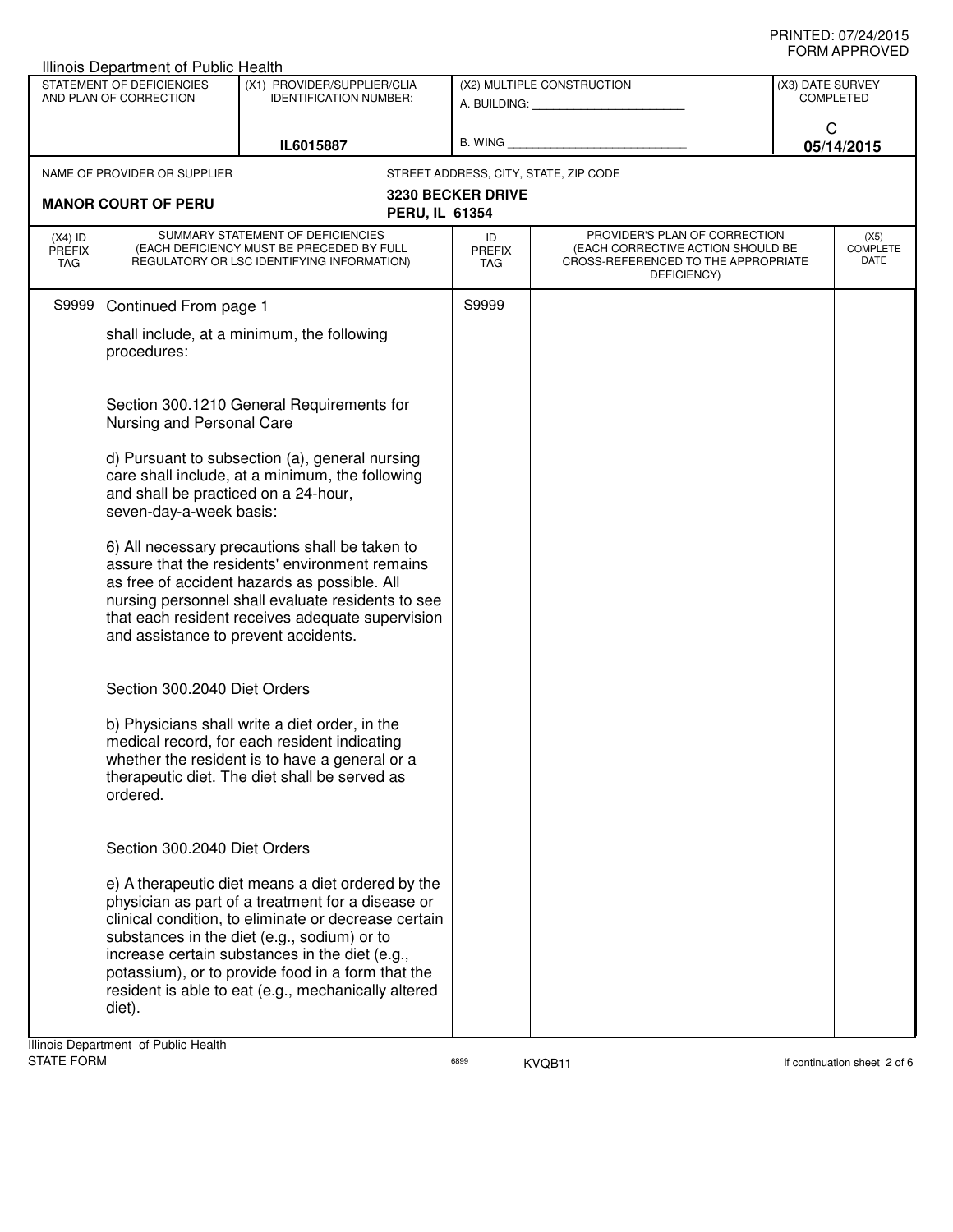| Illinois Department of Public Health                                                                                |                                                                                                                                                                                                                                                                                                   |                                                                                                                                                                                                                                                                                                                                                                             |                                   |                                                                                                                          |                                 |            |
|---------------------------------------------------------------------------------------------------------------------|---------------------------------------------------------------------------------------------------------------------------------------------------------------------------------------------------------------------------------------------------------------------------------------------------|-----------------------------------------------------------------------------------------------------------------------------------------------------------------------------------------------------------------------------------------------------------------------------------------------------------------------------------------------------------------------------|-----------------------------------|--------------------------------------------------------------------------------------------------------------------------|---------------------------------|------------|
| STATEMENT OF DEFICIENCIES<br>(X1) PROVIDER/SUPPLIER/CLIA<br>AND PLAN OF CORRECTION<br><b>IDENTIFICATION NUMBER:</b> |                                                                                                                                                                                                                                                                                                   | (X2) MULTIPLE CONSTRUCTION                                                                                                                                                                                                                                                                                                                                                  |                                   | (X3) DATE SURVEY<br><b>COMPLETED</b>                                                                                     |                                 |            |
|                                                                                                                     |                                                                                                                                                                                                                                                                                                   | A. BUILDING: A. BUILDING:                                                                                                                                                                                                                                                                                                                                                   |                                   | C                                                                                                                        |                                 |            |
|                                                                                                                     |                                                                                                                                                                                                                                                                                                   | IL6015887                                                                                                                                                                                                                                                                                                                                                                   | B. WING                           |                                                                                                                          |                                 | 05/14/2015 |
|                                                                                                                     | NAME OF PROVIDER OR SUPPLIER                                                                                                                                                                                                                                                                      |                                                                                                                                                                                                                                                                                                                                                                             |                                   | STREET ADDRESS, CITY, STATE, ZIP CODE                                                                                    |                                 |            |
|                                                                                                                     | <b>MANOR COURT OF PERU</b>                                                                                                                                                                                                                                                                        | <b>PERU, IL 61354</b>                                                                                                                                                                                                                                                                                                                                                       | <b>3230 BECKER DRIVE</b>          |                                                                                                                          |                                 |            |
| $(X4)$ ID<br><b>PREFIX</b><br>TAG                                                                                   | SUMMARY STATEMENT OF DEFICIENCIES<br>(EACH DEFICIENCY MUST BE PRECEDED BY FULL<br>REGULATORY OR LSC IDENTIFYING INFORMATION)                                                                                                                                                                      |                                                                                                                                                                                                                                                                                                                                                                             | ID<br><b>PREFIX</b><br><b>TAG</b> | PROVIDER'S PLAN OF CORRECTION<br>(EACH CORRECTIVE ACTION SHOULD BE<br>CROSS-REFERENCED TO THE APPROPRIATE<br>DEFICIENCY) | (X5)<br><b>COMPLETE</b><br>DATE |            |
| S9999                                                                                                               | Continued From page 1                                                                                                                                                                                                                                                                             |                                                                                                                                                                                                                                                                                                                                                                             | S9999                             |                                                                                                                          |                                 |            |
|                                                                                                                     | shall include, at a minimum, the following<br>procedures:                                                                                                                                                                                                                                         |                                                                                                                                                                                                                                                                                                                                                                             |                                   |                                                                                                                          |                                 |            |
|                                                                                                                     | Nursing and Personal Care                                                                                                                                                                                                                                                                         | Section 300.1210 General Requirements for                                                                                                                                                                                                                                                                                                                                   |                                   |                                                                                                                          |                                 |            |
|                                                                                                                     | d) Pursuant to subsection (a), general nursing<br>care shall include, at a minimum, the following<br>and shall be practiced on a 24-hour,<br>seven-day-a-week basis:                                                                                                                              |                                                                                                                                                                                                                                                                                                                                                                             |                                   |                                                                                                                          |                                 |            |
|                                                                                                                     | 6) All necessary precautions shall be taken to<br>assure that the residents' environment remains<br>as free of accident hazards as possible. All<br>nursing personnel shall evaluate residents to see<br>that each resident receives adequate supervision<br>and assistance to prevent accidents. |                                                                                                                                                                                                                                                                                                                                                                             |                                   |                                                                                                                          |                                 |            |
|                                                                                                                     | Section 300.2040 Diet Orders                                                                                                                                                                                                                                                                      |                                                                                                                                                                                                                                                                                                                                                                             |                                   |                                                                                                                          |                                 |            |
|                                                                                                                     | b) Physicians shall write a diet order, in the<br>medical record, for each resident indicating<br>whether the resident is to have a general or a<br>therapeutic diet. The diet shall be served as<br>ordered.                                                                                     |                                                                                                                                                                                                                                                                                                                                                                             |                                   |                                                                                                                          |                                 |            |
|                                                                                                                     | Section 300.2040 Diet Orders                                                                                                                                                                                                                                                                      |                                                                                                                                                                                                                                                                                                                                                                             |                                   |                                                                                                                          |                                 |            |
|                                                                                                                     | diet).                                                                                                                                                                                                                                                                                            | e) A therapeutic diet means a diet ordered by the<br>physician as part of a treatment for a disease or<br>clinical condition, to eliminate or decrease certain<br>substances in the diet (e.g., sodium) or to<br>increase certain substances in the diet (e.g.,<br>potassium), or to provide food in a form that the<br>resident is able to eat (e.g., mechanically altered |                                   |                                                                                                                          |                                 |            |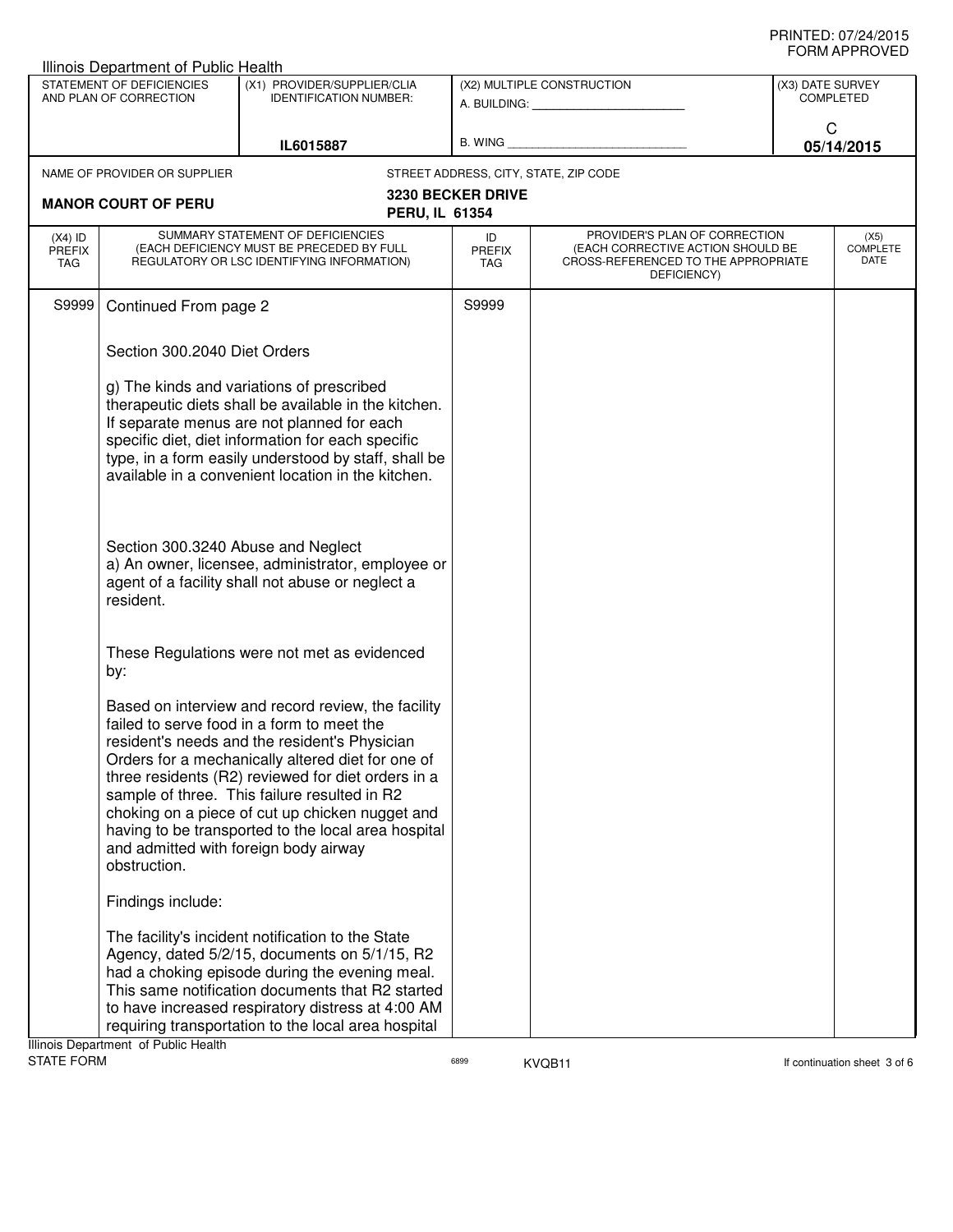| Illinois Department of Public Health                                                                                |                                                                                                                                                                                                                                                                                                                                                                                                                                                                                 |                                                         |                                   |                                                                                                                          |            |                                 |
|---------------------------------------------------------------------------------------------------------------------|---------------------------------------------------------------------------------------------------------------------------------------------------------------------------------------------------------------------------------------------------------------------------------------------------------------------------------------------------------------------------------------------------------------------------------------------------------------------------------|---------------------------------------------------------|-----------------------------------|--------------------------------------------------------------------------------------------------------------------------|------------|---------------------------------|
| STATEMENT OF DEFICIENCIES<br>(X1) PROVIDER/SUPPLIER/CLIA<br>AND PLAN OF CORRECTION<br><b>IDENTIFICATION NUMBER:</b> |                                                                                                                                                                                                                                                                                                                                                                                                                                                                                 | (X2) MULTIPLE CONSTRUCTION<br>A. BUILDING: A. BUILDING: |                                   | (X3) DATE SURVEY<br><b>COMPLETED</b>                                                                                     |            |                                 |
|                                                                                                                     |                                                                                                                                                                                                                                                                                                                                                                                                                                                                                 |                                                         |                                   | C                                                                                                                        |            |                                 |
|                                                                                                                     |                                                                                                                                                                                                                                                                                                                                                                                                                                                                                 | IL6015887                                               | B. WING                           |                                                                                                                          | 05/14/2015 |                                 |
|                                                                                                                     | NAME OF PROVIDER OR SUPPLIER                                                                                                                                                                                                                                                                                                                                                                                                                                                    |                                                         |                                   | STREET ADDRESS, CITY, STATE, ZIP CODE                                                                                    |            |                                 |
|                                                                                                                     | <b>MANOR COURT OF PERU</b>                                                                                                                                                                                                                                                                                                                                                                                                                                                      |                                                         | <b>3230 BECKER DRIVE</b>          |                                                                                                                          |            |                                 |
|                                                                                                                     |                                                                                                                                                                                                                                                                                                                                                                                                                                                                                 | <b>PERU, IL 61354</b>                                   |                                   |                                                                                                                          |            |                                 |
| $(X4)$ ID<br><b>PREFIX</b><br>TAG                                                                                   | SUMMARY STATEMENT OF DEFICIENCIES<br>(EACH DEFICIENCY MUST BE PRECEDED BY FULL<br>REGULATORY OR LSC IDENTIFYING INFORMATION)                                                                                                                                                                                                                                                                                                                                                    |                                                         | ID<br><b>PREFIX</b><br><b>TAG</b> | PROVIDER'S PLAN OF CORRECTION<br>(EACH CORRECTIVE ACTION SHOULD BE<br>CROSS-REFERENCED TO THE APPROPRIATE<br>DEFICIENCY) |            | (X5)<br><b>COMPLETE</b><br>DATE |
| S9999                                                                                                               | Continued From page 2                                                                                                                                                                                                                                                                                                                                                                                                                                                           |                                                         | S9999                             |                                                                                                                          |            |                                 |
|                                                                                                                     | Section 300.2040 Diet Orders                                                                                                                                                                                                                                                                                                                                                                                                                                                    |                                                         |                                   |                                                                                                                          |            |                                 |
|                                                                                                                     | g) The kinds and variations of prescribed<br>therapeutic diets shall be available in the kitchen.<br>If separate menus are not planned for each<br>specific diet, diet information for each specific<br>type, in a form easily understood by staff, shall be<br>available in a convenient location in the kitchen.                                                                                                                                                              |                                                         |                                   |                                                                                                                          |            |                                 |
|                                                                                                                     | Section 300.3240 Abuse and Neglect<br>a) An owner, licensee, administrator, employee or<br>agent of a facility shall not abuse or neglect a<br>resident.                                                                                                                                                                                                                                                                                                                        |                                                         |                                   |                                                                                                                          |            |                                 |
|                                                                                                                     | These Regulations were not met as evidenced<br>by:                                                                                                                                                                                                                                                                                                                                                                                                                              |                                                         |                                   |                                                                                                                          |            |                                 |
|                                                                                                                     | Based on interview and record review, the facility<br>failed to serve food in a form to meet the<br>resident's needs and the resident's Physician<br>Orders for a mechanically altered diet for one of<br>three residents (R2) reviewed for diet orders in a<br>sample of three. This failure resulted in R2<br>choking on a piece of cut up chicken nugget and<br>having to be transported to the local area hospital<br>and admitted with foreign body airway<br>obstruction. |                                                         |                                   |                                                                                                                          |            |                                 |
|                                                                                                                     | Findings include:                                                                                                                                                                                                                                                                                                                                                                                                                                                               |                                                         |                                   |                                                                                                                          |            |                                 |
|                                                                                                                     | The facility's incident notification to the State<br>Agency, dated 5/2/15, documents on 5/1/15, R2<br>had a choking episode during the evening meal.<br>This same notification documents that R2 started<br>to have increased respiratory distress at 4:00 AM<br>requiring transportation to the local area hospital<br>Ilinois Denartment, of Public Health                                                                                                                    |                                                         |                                   |                                                                                                                          |            |                                 |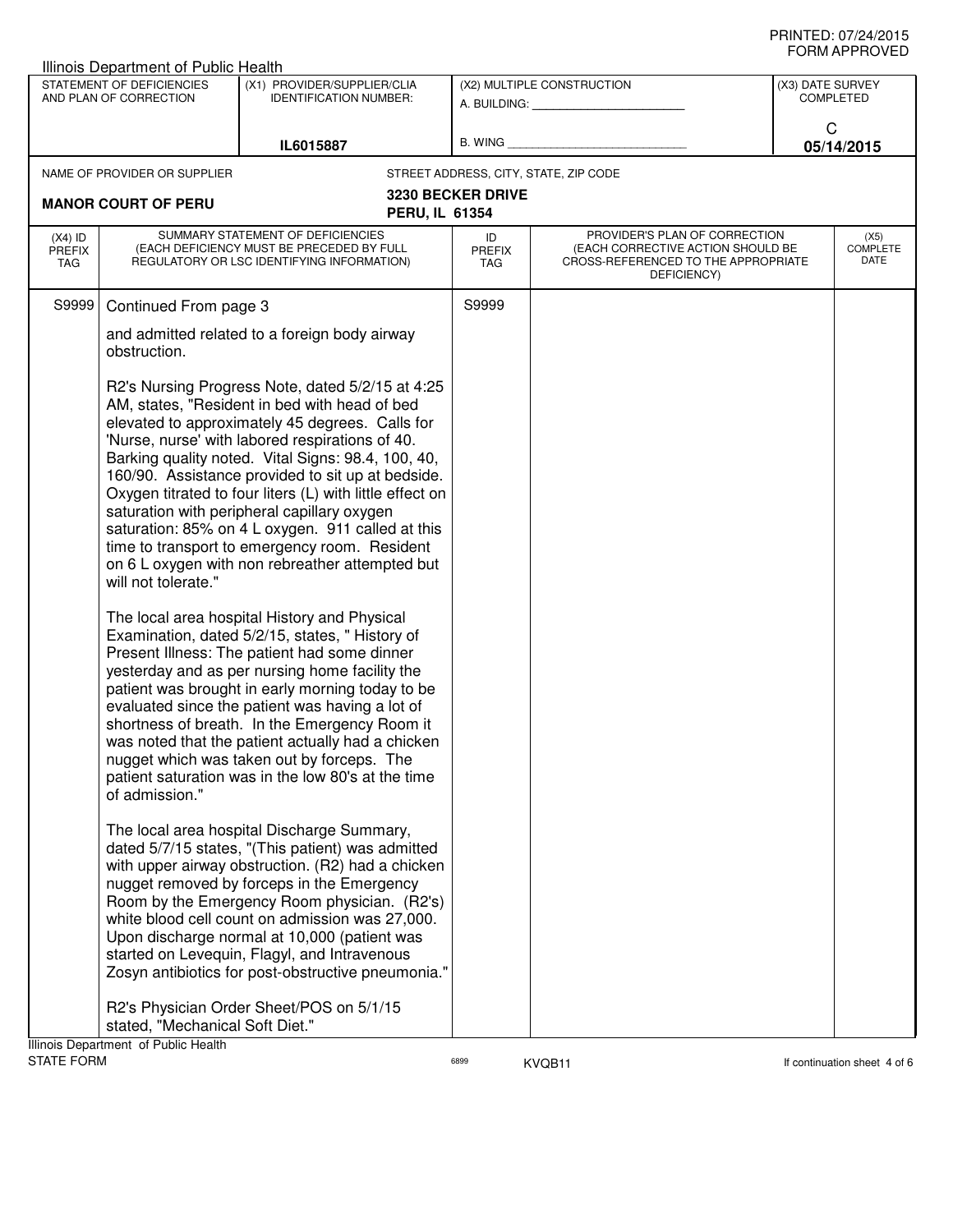|                                                                                                                                                                                                                                                                                                                                                                                                                                                                                                                                     | Illinois Department of Public Health                                    |                                                                                                                                                                                                                                                                                                                                                                                                                                                                                                                                                                                        |                            |                                                                                                                          |                  |                                 |
|-------------------------------------------------------------------------------------------------------------------------------------------------------------------------------------------------------------------------------------------------------------------------------------------------------------------------------------------------------------------------------------------------------------------------------------------------------------------------------------------------------------------------------------|-------------------------------------------------------------------------|----------------------------------------------------------------------------------------------------------------------------------------------------------------------------------------------------------------------------------------------------------------------------------------------------------------------------------------------------------------------------------------------------------------------------------------------------------------------------------------------------------------------------------------------------------------------------------------|----------------------------|--------------------------------------------------------------------------------------------------------------------------|------------------|---------------------------------|
|                                                                                                                                                                                                                                                                                                                                                                                                                                                                                                                                     | STATEMENT OF DEFICIENCIES<br>AND PLAN OF CORRECTION                     | (X1) PROVIDER/SUPPLIER/CLIA<br><b>IDENTIFICATION NUMBER:</b>                                                                                                                                                                                                                                                                                                                                                                                                                                                                                                                           |                            | (X2) MULTIPLE CONSTRUCTION                                                                                               | (X3) DATE SURVEY | <b>COMPLETED</b>                |
|                                                                                                                                                                                                                                                                                                                                                                                                                                                                                                                                     |                                                                         |                                                                                                                                                                                                                                                                                                                                                                                                                                                                                                                                                                                        |                            | A. BUILDING: A. BUILDING:                                                                                                | C                |                                 |
|                                                                                                                                                                                                                                                                                                                                                                                                                                                                                                                                     |                                                                         | IL6015887                                                                                                                                                                                                                                                                                                                                                                                                                                                                                                                                                                              | B. WING                    |                                                                                                                          |                  | 05/14/2015                      |
|                                                                                                                                                                                                                                                                                                                                                                                                                                                                                                                                     | NAME OF PROVIDER OR SUPPLIER                                            |                                                                                                                                                                                                                                                                                                                                                                                                                                                                                                                                                                                        |                            | STREET ADDRESS, CITY, STATE, ZIP CODE                                                                                    |                  |                                 |
|                                                                                                                                                                                                                                                                                                                                                                                                                                                                                                                                     | <b>MANOR COURT OF PERU</b>                                              |                                                                                                                                                                                                                                                                                                                                                                                                                                                                                                                                                                                        | <b>3230 BECKER DRIVE</b>   |                                                                                                                          |                  |                                 |
|                                                                                                                                                                                                                                                                                                                                                                                                                                                                                                                                     |                                                                         | PERU, IL 61354                                                                                                                                                                                                                                                                                                                                                                                                                                                                                                                                                                         |                            |                                                                                                                          |                  |                                 |
| $(X4)$ ID<br><b>PREFIX</b><br><b>TAG</b>                                                                                                                                                                                                                                                                                                                                                                                                                                                                                            |                                                                         | SUMMARY STATEMENT OF DEFICIENCIES<br>(EACH DEFICIENCY MUST BE PRECEDED BY FULL<br>REGULATORY OR LSC IDENTIFYING INFORMATION)                                                                                                                                                                                                                                                                                                                                                                                                                                                           | ID<br><b>PREFIX</b><br>TAG | PROVIDER'S PLAN OF CORRECTION<br>(EACH CORRECTIVE ACTION SHOULD BE<br>CROSS-REFERENCED TO THE APPROPRIATE<br>DEFICIENCY) |                  | (X5)<br><b>COMPLETE</b><br>DATE |
| S9999                                                                                                                                                                                                                                                                                                                                                                                                                                                                                                                               | Continued From page 3                                                   |                                                                                                                                                                                                                                                                                                                                                                                                                                                                                                                                                                                        | S9999                      |                                                                                                                          |                  |                                 |
|                                                                                                                                                                                                                                                                                                                                                                                                                                                                                                                                     | obstruction.                                                            | and admitted related to a foreign body airway                                                                                                                                                                                                                                                                                                                                                                                                                                                                                                                                          |                            |                                                                                                                          |                  |                                 |
|                                                                                                                                                                                                                                                                                                                                                                                                                                                                                                                                     | will not tolerate."                                                     | R2's Nursing Progress Note, dated 5/2/15 at 4:25<br>AM, states, "Resident in bed with head of bed<br>elevated to approximately 45 degrees. Calls for<br>'Nurse, nurse' with labored respirations of 40.<br>Barking quality noted. Vital Signs: 98.4, 100, 40,<br>160/90. Assistance provided to sit up at bedside.<br>Oxygen titrated to four liters (L) with little effect on<br>saturation with peripheral capillary oxygen<br>saturation: 85% on 4 L oxygen. 911 called at this<br>time to transport to emergency room. Resident<br>on 6 L oxygen with non rebreather attempted but |                            |                                                                                                                          |                  |                                 |
| The local area hospital History and Physical<br>Examination, dated 5/2/15, states, "History of<br>Present Illness: The patient had some dinner<br>yesterday and as per nursing home facility the<br>patient was brought in early morning today to be<br>evaluated since the patient was having a lot of<br>shortness of breath. In the Emergency Room it<br>was noted that the patient actually had a chicken<br>nugget which was taken out by forceps. The<br>patient saturation was in the low 80's at the time<br>of admission." |                                                                         |                                                                                                                                                                                                                                                                                                                                                                                                                                                                                                                                                                                        |                            |                                                                                                                          |                  |                                 |
|                                                                                                                                                                                                                                                                                                                                                                                                                                                                                                                                     |                                                                         | The local area hospital Discharge Summary,<br>dated 5/7/15 states, "(This patient) was admitted<br>with upper airway obstruction. (R2) had a chicken<br>nugget removed by forceps in the Emergency<br>Room by the Emergency Room physician. (R2's)<br>white blood cell count on admission was 27,000.<br>Upon discharge normal at 10,000 (patient was<br>started on Levequin, Flagyl, and Intravenous<br>Zosyn antibiotics for post-obstructive pneumonia."                                                                                                                            |                            |                                                                                                                          |                  |                                 |
|                                                                                                                                                                                                                                                                                                                                                                                                                                                                                                                                     | stated, "Mechanical Soft Diet."<br>Illinois Department of Public Health | R2's Physician Order Sheet/POS on 5/1/15                                                                                                                                                                                                                                                                                                                                                                                                                                                                                                                                               |                            |                                                                                                                          |                  |                                 |
| <b>STATE FORM</b>                                                                                                                                                                                                                                                                                                                                                                                                                                                                                                                   |                                                                         |                                                                                                                                                                                                                                                                                                                                                                                                                                                                                                                                                                                        | 6899                       | KVQB11                                                                                                                   |                  | If continuation sheet 4 of 6    |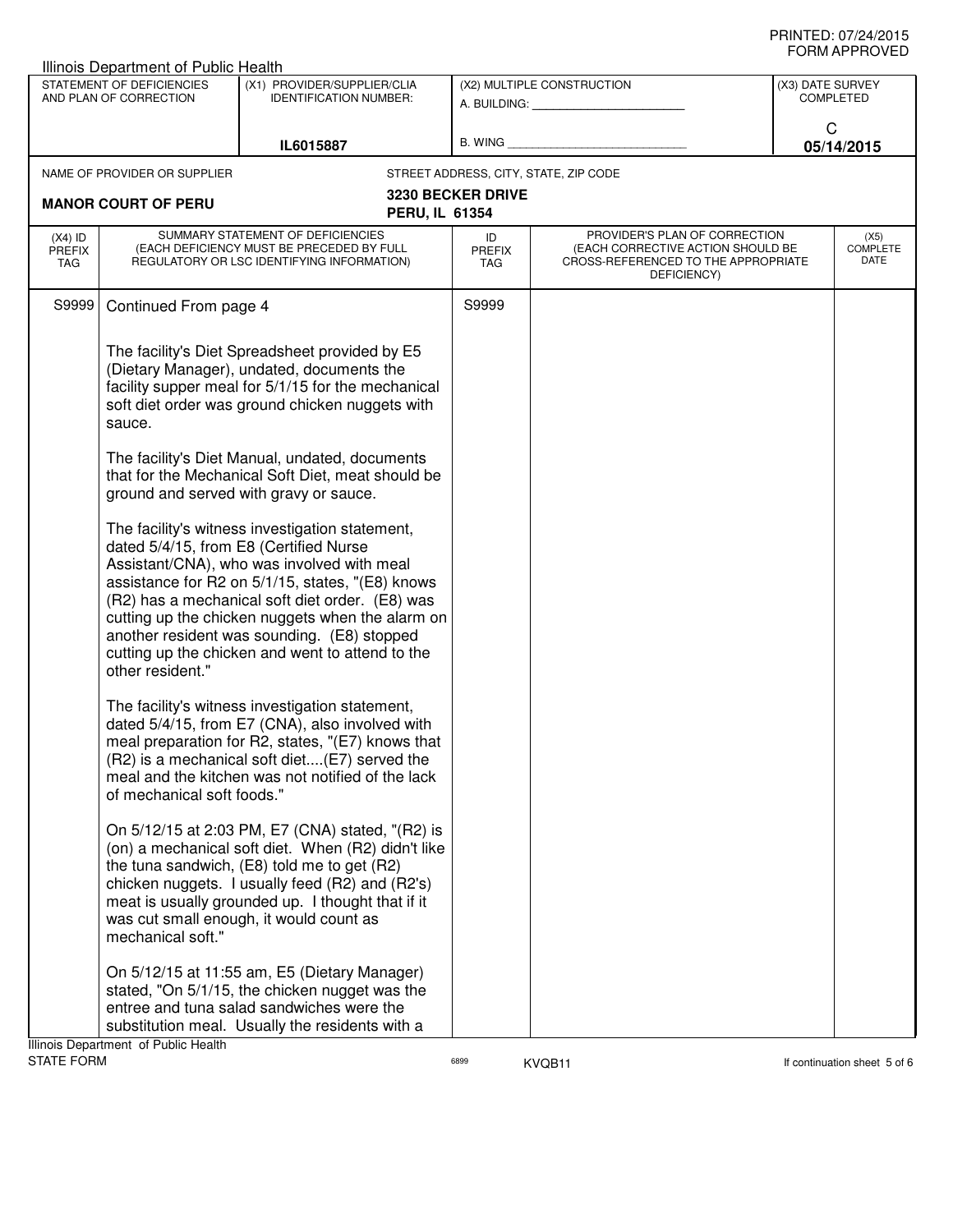## PRINTED: 07/24/2015 FORM APPROVED

| Illinois Department of Public Health                |                                                                                                                              |                                                                                                                                                                                                                                                                                                                                                                                                                                                                                                                                                                                                                                                                                                                                                                                                                            |                            |                                                                                                                                              |                                      |                                 |
|-----------------------------------------------------|------------------------------------------------------------------------------------------------------------------------------|----------------------------------------------------------------------------------------------------------------------------------------------------------------------------------------------------------------------------------------------------------------------------------------------------------------------------------------------------------------------------------------------------------------------------------------------------------------------------------------------------------------------------------------------------------------------------------------------------------------------------------------------------------------------------------------------------------------------------------------------------------------------------------------------------------------------------|----------------------------|----------------------------------------------------------------------------------------------------------------------------------------------|--------------------------------------|---------------------------------|
| STATEMENT OF DEFICIENCIES<br>AND PLAN OF CORRECTION |                                                                                                                              | (X1) PROVIDER/SUPPLIER/CLIA<br><b>IDENTIFICATION NUMBER:</b>                                                                                                                                                                                                                                                                                                                                                                                                                                                                                                                                                                                                                                                                                                                                                               |                            | (X2) MULTIPLE CONSTRUCTION<br>A. BUILDING: A SALE AND THE SALE AND THE SALE AND THE SALE AND THE SALE AND THE SALE AND THE SALE AND THE SALE | (X3) DATE SURVEY<br><b>COMPLETED</b> |                                 |
|                                                     |                                                                                                                              | IL6015887                                                                                                                                                                                                                                                                                                                                                                                                                                                                                                                                                                                                                                                                                                                                                                                                                  | B. WING                    |                                                                                                                                              | C                                    | 05/14/2015                      |
|                                                     | NAME OF PROVIDER OR SUPPLIER                                                                                                 |                                                                                                                                                                                                                                                                                                                                                                                                                                                                                                                                                                                                                                                                                                                                                                                                                            |                            | STREET ADDRESS, CITY, STATE, ZIP CODE                                                                                                        |                                      |                                 |
|                                                     | <b>MANOR COURT OF PERU</b>                                                                                                   | PERU, IL 61354                                                                                                                                                                                                                                                                                                                                                                                                                                                                                                                                                                                                                                                                                                                                                                                                             | <b>3230 BECKER DRIVE</b>   |                                                                                                                                              |                                      |                                 |
| $(X4)$ ID<br><b>PREFIX</b><br>TAG                   | SUMMARY STATEMENT OF DEFICIENCIES<br>(EACH DEFICIENCY MUST BE PRECEDED BY FULL<br>REGULATORY OR LSC IDENTIFYING INFORMATION) |                                                                                                                                                                                                                                                                                                                                                                                                                                                                                                                                                                                                                                                                                                                                                                                                                            | ID<br><b>PREFIX</b><br>TAG | PROVIDER'S PLAN OF CORRECTION<br>(EACH CORRECTIVE ACTION SHOULD BE<br>CROSS-REFERENCED TO THE APPROPRIATE<br>DEFICIENCY)                     |                                      | (X5)<br><b>COMPLETE</b><br>DATE |
| S9999                                               | Continued From page 4                                                                                                        |                                                                                                                                                                                                                                                                                                                                                                                                                                                                                                                                                                                                                                                                                                                                                                                                                            | S9999                      |                                                                                                                                              |                                      |                                 |
|                                                     | sauce.<br>dated 5/4/15, from E8 (Certified Nurse<br>other resident."                                                         | The facility's Diet Spreadsheet provided by E5<br>(Dietary Manager), undated, documents the<br>facility supper meal for 5/1/15 for the mechanical<br>soft diet order was ground chicken nuggets with<br>The facility's Diet Manual, undated, documents<br>that for the Mechanical Soft Diet, meat should be<br>ground and served with gravy or sauce.<br>The facility's witness investigation statement,<br>Assistant/CNA), who was involved with meal<br>assistance for R2 on 5/1/15, states, "(E8) knows<br>(R2) has a mechanical soft diet order. (E8) was<br>cutting up the chicken nuggets when the alarm on<br>another resident was sounding. (E8) stopped<br>cutting up the chicken and went to attend to the<br>The facility's witness investigation statement,<br>dated 5/4/15, from E7 (CNA), also involved with |                            |                                                                                                                                              |                                      |                                 |
|                                                     | of mechanical soft foods."                                                                                                   | meal preparation for R2, states, "(E7) knows that<br>(R2) is a mechanical soft diet(E7) served the<br>meal and the kitchen was not notified of the lack                                                                                                                                                                                                                                                                                                                                                                                                                                                                                                                                                                                                                                                                    |                            |                                                                                                                                              |                                      |                                 |
|                                                     | mechanical soft."                                                                                                            | On 5/12/15 at 2:03 PM, E7 (CNA) stated, "(R2) is<br>(on) a mechanical soft diet. When (R2) didn't like<br>the tuna sandwich, (E8) told me to get (R2)<br>chicken nuggets. I usually feed (R2) and (R2's)<br>meat is usually grounded up. I thought that if it<br>was cut small enough, it would count as                                                                                                                                                                                                                                                                                                                                                                                                                                                                                                                   |                            |                                                                                                                                              |                                      |                                 |
|                                                     |                                                                                                                              | On 5/12/15 at 11:55 am, E5 (Dietary Manager)<br>stated, "On 5/1/15, the chicken nugget was the<br>entree and tuna salad sandwiches were the<br>substitution meal. Usually the residents with a                                                                                                                                                                                                                                                                                                                                                                                                                                                                                                                                                                                                                             |                            |                                                                                                                                              |                                      |                                 |
|                                                     | Illinois Department of Public Health                                                                                         |                                                                                                                                                                                                                                                                                                                                                                                                                                                                                                                                                                                                                                                                                                                                                                                                                            |                            |                                                                                                                                              |                                      |                                 |